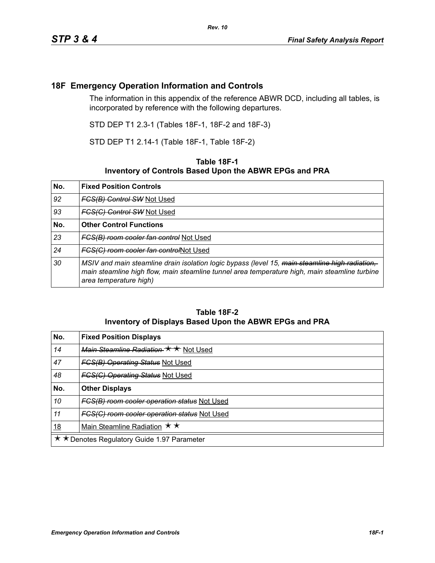## **18F Emergency Operation Information and Controls**

The information in this appendix of the reference ABWR DCD, including all tables, is incorporated by reference with the following departures.

STD DEP T1 2.3-1 (Tables 18F-1, 18F-2 and 18F-3)

STD DEP T1 2.14-1 (Table 18F-1, Table 18F-2)

## **Table 18F-1 Inventory of Controls Based Upon the ABWR EPGs and PRA**

| No. | <b>Fixed Position Controls</b>                                                                                                                                                                                            |
|-----|---------------------------------------------------------------------------------------------------------------------------------------------------------------------------------------------------------------------------|
| 92  | <b>FCS(B) Control SW Not Used</b>                                                                                                                                                                                         |
| 93  | <b>FCS(C) Control SW Not Used</b>                                                                                                                                                                                         |
| No. | <b>Other Control Functions</b>                                                                                                                                                                                            |
| 23  | FCS(B) room cooler fan control Not Used                                                                                                                                                                                   |
| 24  | FCS(C) room cooler fan controlNot Used                                                                                                                                                                                    |
| 30  | MSIV and main steamline drain isolation logic bypass (level 15, main steamline high radiation,<br>main steamline high flow, main steamline tunnel area temperature high, main steamline turbine<br>area temperature high) |

## **Table 18F-2 Inventory of Displays Based Upon the ABWR EPGs and PRA**

| No.                                         | <b>Fixed Position Displays</b>               |
|---------------------------------------------|----------------------------------------------|
| 14                                          | Main Steamline Radiation * * Not Used        |
| 47                                          | <b>FGS(B) Operating Status Not Used</b>      |
| 48                                          | <b>FGS(C) Operating Status Not Used</b>      |
| No.                                         | <b>Other Displays</b>                        |
| 10                                          | FCS(B) room cooler operation status Not Used |
| 11                                          | FGS(G) room cooler operation status Not Used |
| <u>18</u>                                   | Main Steamline Radiation $\star \star$       |
| ★ ★ Denotes Regulatory Guide 1.97 Parameter |                                              |